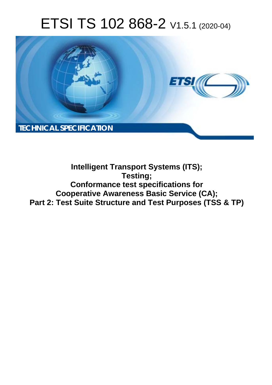# ETSI TS 102 868-2 V1.5.1 (2020-04)



### **Intelligent Transport Systems (ITS); Testing; Conformance test specifications for Cooperative Awareness Basic Service (CA); Part 2: Test Suite Structure and Test Purposes (TSS & TP)**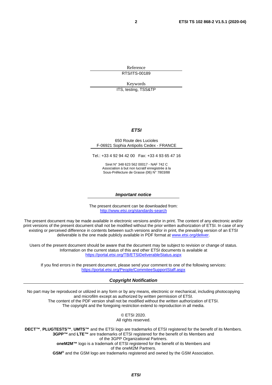Reference RTS/ITS-00189

Keywords

ITS, testing, TSS&TP

#### *ETSI*

#### 650 Route des Lucioles F-06921 Sophia Antipolis Cedex - FRANCE

Tel.: +33 4 92 94 42 00 Fax: +33 4 93 65 47 16

Siret N° 348 623 562 00017 - NAF 742 C Association à but non lucratif enregistrée à la Sous-Préfecture de Grasse (06) N° 7803/88

#### *Important notice*

The present document can be downloaded from: <http://www.etsi.org/standards-search>

The present document may be made available in electronic versions and/or in print. The content of any electronic and/or print versions of the present document shall not be modified without the prior written authorization of ETSI. In case of any existing or perceived difference in contents between such versions and/or in print, the prevailing version of an ETSI deliverable is the one made publicly available in PDF format at [www.etsi.org/deliver](http://www.etsi.org/deliver).

Users of the present document should be aware that the document may be subject to revision or change of status. Information on the current status of this and other ETSI documents is available at <https://portal.etsi.org/TB/ETSIDeliverableStatus.aspx>

If you find errors in the present document, please send your comment to one of the following services: <https://portal.etsi.org/People/CommiteeSupportStaff.aspx>

#### *Copyright Notification*

No part may be reproduced or utilized in any form or by any means, electronic or mechanical, including photocopying and microfilm except as authorized by written permission of ETSI. The content of the PDF version shall not be modified without the written authorization of ETSI. The copyright and the foregoing restriction extend to reproduction in all media.

> © ETSI 2020. All rights reserved.

**DECT™**, **PLUGTESTS™**, **UMTS™** and the ETSI logo are trademarks of ETSI registered for the benefit of its Members. **3GPP™** and **LTE™** are trademarks of ETSI registered for the benefit of its Members and of the 3GPP Organizational Partners. **oneM2M™** logo is a trademark of ETSI registered for the benefit of its Members and of the oneM2M Partners. **GSM®** and the GSM logo are trademarks registered and owned by the GSM Association.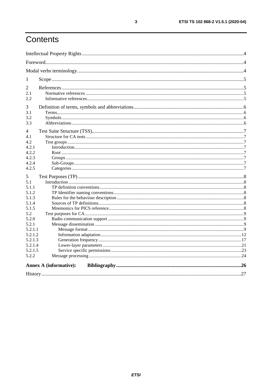# Contents

| 1                             |  |
|-------------------------------|--|
| 2                             |  |
| 2.1                           |  |
| 2.2                           |  |
| 3                             |  |
| 3.1                           |  |
| 3.2                           |  |
| 3.3                           |  |
|                               |  |
| 4                             |  |
| 4.1                           |  |
| 4.2                           |  |
| 4.2.1                         |  |
| 4.2.2                         |  |
| 4.2.3                         |  |
| 4.2.4                         |  |
| 4.2.5                         |  |
| 5                             |  |
| 5.1                           |  |
| 5.1.1                         |  |
| 5.1.2                         |  |
| 5.1.3                         |  |
| 5.1.4                         |  |
| 5.1.5                         |  |
| 5.2                           |  |
| 5.2.0                         |  |
| 5.2.1                         |  |
| 5.2.1.1                       |  |
| 5.2.1.2                       |  |
| 5.2.1.3                       |  |
| 5.2.1.4                       |  |
| 5.2.1.5                       |  |
| 5.2.2                         |  |
| <b>Annex A (informative):</b> |  |
|                               |  |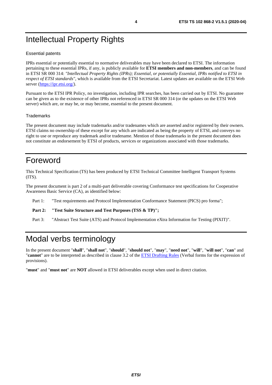### <span id="page-3-0"></span>Intellectual Property Rights

#### Essential patents

IPRs essential or potentially essential to normative deliverables may have been declared to ETSI. The information pertaining to these essential IPRs, if any, is publicly available for **ETSI members and non-members**, and can be found in ETSI SR 000 314: *"Intellectual Property Rights (IPRs); Essential, or potentially Essential, IPRs notified to ETSI in respect of ETSI standards"*, which is available from the ETSI Secretariat. Latest updates are available on the ETSI Web server (<https://ipr.etsi.org/>).

Pursuant to the ETSI IPR Policy, no investigation, including IPR searches, has been carried out by ETSI. No guarantee can be given as to the existence of other IPRs not referenced in ETSI SR 000 314 (or the updates on the ETSI Web server) which are, or may be, or may become, essential to the present document.

#### **Trademarks**

The present document may include trademarks and/or tradenames which are asserted and/or registered by their owners. ETSI claims no ownership of these except for any which are indicated as being the property of ETSI, and conveys no right to use or reproduce any trademark and/or tradename. Mention of those trademarks in the present document does not constitute an endorsement by ETSI of products, services or organizations associated with those trademarks.

### Foreword

This Technical Specification (TS) has been produced by ETSI Technical Committee Intelligent Transport Systems (ITS).

The present document is part 2 of a multi-part deliverable covering Conformance test specifications for Cooperative Awareness Basic Service (CA), as identified below:

Part 1: "Test requirements and Protocol Implementation Conformance Statement (PICS) pro forma";

Part 2: "Test Suite Structure and Test Purposes (TSS & TP)";

Part 3: "Abstract Test Suite (ATS) and Protocol Implementation eXtra Information for Testing (PIXIT)".

### Modal verbs terminology

In the present document "**shall**", "**shall not**", "**should**", "**should not**", "**may**", "**need not**", "**will**", "**will not**", "**can**" and "**cannot**" are to be interpreted as described in clause 3.2 of the [ETSI Drafting Rules](https://portal.etsi.org/Services/editHelp!/Howtostart/ETSIDraftingRules.aspx) (Verbal forms for the expression of provisions).

"**must**" and "**must not**" are **NOT** allowed in ETSI deliverables except when used in direct citation.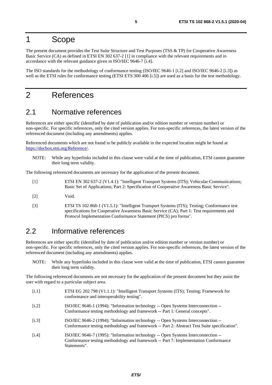### <span id="page-4-0"></span>1 Scope

The present document provides the Test Suite Structure and Test Purposes (TSS & TP) for Cooperative Awareness Basic Service (CA) as defined in ETSI EN 302 637-2 [1] in compliance with the relevant requirements and in accordance with the relevant guidance given in ISO/IEC 9646-7 [i.4].

The ISO standards for the methodology of conformance testing (ISO/IEC 9646-1 [i.2] and ISO/IEC 9646-2 [i.3]) as well as the ETSI rules for conformance testing (ETSI ETS 300 406 [\[i.5](#page-5-0)]) are used as a basis for the test methodology.

### 2 References

### 2.1 Normative references

References are either specific (identified by date of publication and/or edition number or version number) or non-specific. For specific references, only the cited version applies. For non-specific references, the latest version of the referenced document (including any amendments) applies.

Referenced documents which are not found to be publicly available in the expected location might be found at <https://docbox.etsi.org/Reference/>.

NOTE: While any hyperlinks included in this clause were valid at the time of publication, ETSI cannot guarantee their long term validity.

The following referenced documents are necessary for the application of the present document.

- [1] ETSI EN 302 637-2 (V1.4.1): "Intelligent Transport Systems (ITS); Vehicular Communications; Basic Set of Applications; Part 2: Specification of Cooperative Awareness Basic Service".
- [2] Void.
- [3] ETSI TS 102 868-1 (V1.5.1): "Intelligent Transport Systems (ITS); Testing; Conformance test specifications for Cooperative Awareness Basic Service (CA); Part 1: Test requirements and Protocol Implementation Conformance Statement (PICS) pro forma".

### 2.2 Informative references

References are either specific (identified by date of publication and/or edition number or version number) or non-specific. For specific references, only the cited version applies. For non-specific references, the latest version of the referenced document (including any amendments) applies.

NOTE: While any hyperlinks included in this clause were valid at the time of publication, ETSI cannot guarantee their long term validity.

The following referenced documents are not necessary for the application of the present document but they assist the user with regard to a particular subject area.

- [i.1] ETSI EG 202 798 (V1.1.1): "Intelligent Transport Systems (ITS); Testing; Framework for conformance and interoperability testing".
- [i.2] ISO/IEC 9646-1 (1994): "Information technology -- Open Systems Interconnection -- Conformance testing methodology and framework -- Part 1: General concepts".
- [i.3] ISO/IEC 9646-2 (1994): "Information technology -- Open Systems Interconnection -- Conformance testing methodology and framework -- Part 2: Abstract Test Suite specification".
- [i.4] ISO/IEC 9646-7 (1995): "Information technology -- Open Systems Interconnection -- Conformance testing methodology and framework -- Part 7: Implementation Conformance Statements".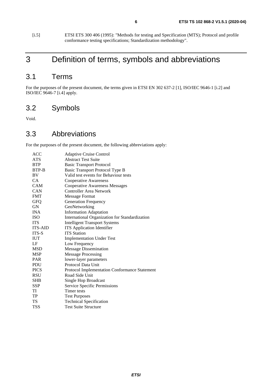<span id="page-5-0"></span>[i.5] ETSI ETS 300 406 (1995): "Methods for testing and Specification (MTS); Protocol and profile conformance testing specifications; Standardization methodology".

### 3 Definition of terms, symbols and abbreviations

### 3.1 Terms

For the purposes of the present document, the terms given in ETSI EN 302 637-2 [[1](#page-4-0)], ISO/IEC 9646-1 [\[i.2\]](#page-4-0) and ISO/IEC 9646-7 [\[i.4](#page-4-0)] apply.

### 3.2 Symbols

Void.

### 3.3 Abbreviations

For the purposes of the present document, the following abbreviations apply:

| <b>ACC</b>     | <b>Adaptive Cruise Control</b>                 |
|----------------|------------------------------------------------|
| ATS            | <b>Abstract Test Suite</b>                     |
| <b>BTP</b>     | <b>Basic Transport Protocol</b>                |
| BTP-B          | Basic Transport Protocol Type B                |
| BV             | Valid test events for Behaviour tests          |
| CA             | <b>Cooperative Awareness</b>                   |
| CAM            | <b>Cooperative Awareness Messages</b>          |
| CAN            | <b>Controller Area Network</b>                 |
| <b>FMT</b>     | Message Format                                 |
| <b>GFQ</b>     | <b>Generation Frequency</b>                    |
| <b>GN</b>      | GeoNetworking                                  |
| <b>INA</b>     | <b>Information Adaptation</b>                  |
| <b>ISO</b>     | International Organization for Standardization |
| <b>ITS</b>     | <b>Intelligent Transport Systems</b>           |
| <b>ITS-AID</b> | <b>ITS</b> Application Identifier              |
| ITS-S          | <b>ITS</b> Station                             |
| <b>IUT</b>     | <b>Implementation Under Test</b>               |
| LF             | Low Frequency                                  |
| <b>MSD</b>     | <b>Message Dissemination</b>                   |
| <b>MSP</b>     | <b>Message Processing</b>                      |
| <b>PAR</b>     | lower-layer parameters                         |
| <b>PDU</b>     | Protocol Data Unit                             |
| <b>PICS</b>    | Protocol Implementation Conformance Statement  |
| <b>RSU</b>     | Road Side Unit                                 |
| <b>SHB</b>     | Single Hop Broadcast                           |
| <b>SSP</b>     | Service Specific Permissions                   |
| TI             | Timer tests                                    |
| TP             | <b>Test Purposes</b>                           |
| TS             | <b>Technical Specification</b>                 |
| <b>TSS</b>     | <b>Test Suite Structure</b>                    |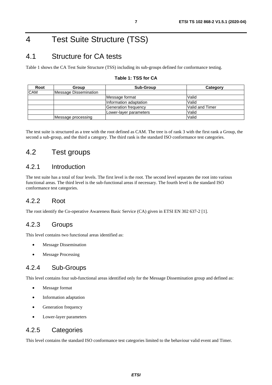### <span id="page-6-0"></span>4 Test Suite Structure (TSS)

### 4.1 Structure for CA tests

Table 1 shows the CA Test Suite Structure (TSS) including its sub-groups defined for conformance testing.

#### **Table 1: TSS for CA**

| Root       | Group                 | <b>Sub-Group</b>       | Category         |
|------------|-----------------------|------------------------|------------------|
| <b>CAM</b> | Message Dissemination |                        |                  |
|            |                       | Message format         | Valid            |
|            |                       | Information adaptation | Valid            |
|            |                       | Generation frequency   | lValid and Timer |
|            |                       | Lower-layer parameters | Valid            |
|            | Message processing    |                        | Valid            |

The test suite is structured as a tree with the root defined as CAM. The tree is of rank 3 with the first rank a Group, the second a sub-group, and the third a category. The third rank is the standard ISO conformance test categories.

### 4.2 Test groups

#### 4.2.1 Introduction

The test suite has a total of four levels. The first level is the root. The second level separates the root into various functional areas. The third level is the sub-functional areas if necessary. The fourth level is the standard ISO conformance test categories.

#### 4.2.2 Root

The root identify the Co-operative Awareness Basic Service (CA) given in ETSI EN 302 637-2 [\[1](#page-4-0)].

#### 4.2.3 Groups

This level contains two functional areas identified as:

- **Message Dissemination**
- Message Processing

#### 4.2.4 Sub-Groups

This level contains four sub-functional areas identified only for the Message Dissemination group and defined as:

- Message format
- Information adaptation
- Generation frequency
- Lower-layer parameters

#### 4.2.5 Categories

This level contains the standard ISO conformance test categories limited to the behaviour valid event and Timer.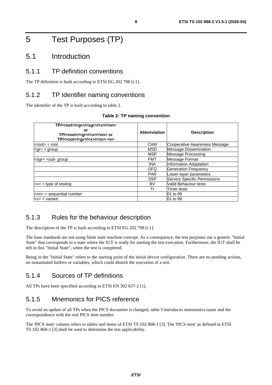### <span id="page-7-0"></span>5 Test Purposes (TP)

#### 5.1 Introduction

#### 5.1.1 TP definition conventions

The TP definition is built according to ETSI EG 202 798 [\[i.1](#page-4-0)].

#### 5.1.2 TP Identifier naming conventions

The identifier of the TP is built according to table 2.

| TP/ <root>/<gr>/<sgr>/<x>/<nn><br/>or<br/>TP/<root>/<gr>/<x>/<nn> or<br/>TP/<root>/<gr>/<x>/<nn>-<v></v></nn></x></gr></root></nn></x></gr></root></nn></x></sgr></gr></root> | Abbreviation | <b>Description</b>                  |
|-------------------------------------------------------------------------------------------------------------------------------------------------------------------------------|--------------|-------------------------------------|
| <root> = root</root>                                                                                                                                                          | <b>CAM</b>   | Cooperative Awareness Message       |
| <gr> = group</gr>                                                                                                                                                             | MSD          | <b>Message Dissemination</b>        |
|                                                                                                                                                                               | <b>MSP</b>   | <b>Message Processing</b>           |
| <sgr> =sub- group</sgr>                                                                                                                                                       | <b>FMT</b>   | Message Format                      |
|                                                                                                                                                                               | <b>INA</b>   | Information Adaptation              |
|                                                                                                                                                                               | GFQ          | <b>Generation Frequency</b>         |
|                                                                                                                                                                               | <b>PAR</b>   | Lower-layer parameters              |
|                                                                                                                                                                               | <b>SSP</b>   | <b>Service Specific Permissions</b> |
| $\langle x \rangle$ = type of testing                                                                                                                                         | BV           | Valid Behaviour tests               |
|                                                                                                                                                                               | TI           | Timer tests                         |
| $<$ nn> = sequential number                                                                                                                                                   |              | 01 to 99                            |
| $<$ v $>$ = variant                                                                                                                                                           |              | 01 to 99                            |

#### **Table 2: TP naming convention**

#### 5.1.3 Rules for the behaviour description

The description of the TP is built according to ETSI EG 202 798 [\[i.1](#page-4-0)].

The base standards are not using finite state machine concept. As a consequence, the test purposes use a generic "Initial State" that corresponds to a state where the IUT is ready for starting the test execution. Furthermore, the IUT shall be left in this "Initial State", when the test is completed.

Being in the "Initial State" refers to the starting point of the initial device configuration. There are no pending actions, no instantiated buffers or variables, which could disturb the execution of a test.

#### 5.1.4 Sources of TP definitions

All TPs have been specified according to ETSI EN 302 637-2 [\[1](#page-4-0)].

### 5.1.5 Mnemonics for PICS reference

To avoid an update of all TPs when the PICS document is changed, table [3](#page-8-0) introduces mnemonics name and the correspondence with the real PICS item number.

The 'PICS item' column refers to tables and items of ETSI TS 102 868-1 [\[3](#page-4-0)]. The 'PICS item' as defined in ETSI TS 102 868-1 [\[3](#page-4-0)] shall be used to determine the test applicability.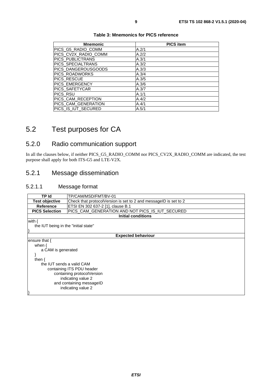<span id="page-8-0"></span>

| <b>PICS item</b> |
|------------------|
| A.2/1            |
| A.2/2            |
| A.3/1            |
| A.3/2            |
| A.3/3            |
| A.3/4            |
| A.3/5            |
| A.3/6            |
| A.3/7            |
| A.1/1            |
| A.4/2            |
| A.4/1            |
| A.5/1            |
|                  |

#### **Table 3: Mnemonics for PICS reference**

### 5.2 Test purposes for CA

### 5.2.0 Radio communication support

In all the clauses below, if neither PICS\_G5\_RADIO\_COMM nor PICS\_CV2X\_RADIO\_COMM are indicated, the test purpose shall apply for both ITS-G5 and LTE-V2X.

#### 5.2.1 Message dissemination

#### 5.2.1.1 Message format

| TP Id                                | TP/CAM/MSD/FMT/BV-01                                             |  |  |
|--------------------------------------|------------------------------------------------------------------|--|--|
| <b>Test objective</b>                | Check that protocolVersion is set to 2 and messageID is set to 2 |  |  |
| Reference                            | ETSI EN 302 637-2 [1], clause B.1                                |  |  |
| <b>PICS Selection</b>                | PICS_CAM_GENERATION AND NOT PICS_IS_IUT_SECURED                  |  |  |
|                                      | Initial conditions                                               |  |  |
| with {                               |                                                                  |  |  |
| the IUT being in the "initial state" |                                                                  |  |  |
|                                      |                                                                  |  |  |
|                                      | <b>Expected behaviour</b>                                        |  |  |
| ensure that {                        |                                                                  |  |  |
| when $\{$                            |                                                                  |  |  |
| a CAM is generated                   |                                                                  |  |  |
|                                      |                                                                  |  |  |
| then $\{$                            |                                                                  |  |  |
|                                      | the IUT sends a valid CAM                                        |  |  |
| containing ITS PDU header            |                                                                  |  |  |
| containing protocolVersion           |                                                                  |  |  |
| indicating value 2                   |                                                                  |  |  |
| and containing messageID             |                                                                  |  |  |
|                                      | indicating value 2                                               |  |  |
|                                      |                                                                  |  |  |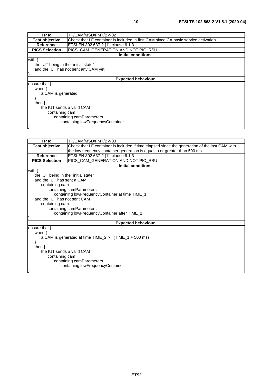| TP Id                                | TP/CAM/MSD/FMT/BV-02                                                               |  |
|--------------------------------------|------------------------------------------------------------------------------------|--|
| <b>Test objective</b>                | Check that LF container is included in first CAM since CA basic service activation |  |
| <b>Reference</b>                     | ETSI EN 302 637-2 [1], clause 6.1.3                                                |  |
| <b>PICS Selection</b>                | PICS_CAM_GENERATION AND NOT PIC_RSU                                                |  |
|                                      | <b>Initial conditions</b>                                                          |  |
| with {                               |                                                                                    |  |
| the IUT being in the "initial state" |                                                                                    |  |
|                                      | and the IUT has not sent any CAM yet                                               |  |
|                                      |                                                                                    |  |
|                                      | <b>Expected behaviour</b>                                                          |  |
| ensure that $\{$                     |                                                                                    |  |
| when $\{$                            |                                                                                    |  |
| a CAM is generated                   |                                                                                    |  |
|                                      |                                                                                    |  |
| then $\{$                            |                                                                                    |  |
| the IUT sends a valid CAM            |                                                                                    |  |
| containing cam                       |                                                                                    |  |
|                                      | containing camParameters                                                           |  |
| containing lowFrequencyContainer     |                                                                                    |  |
|                                      |                                                                                    |  |

| <b>TP Id</b>                         | TP/CAM/MSD/FMT/BV-03                                                                          |  |  |
|--------------------------------------|-----------------------------------------------------------------------------------------------|--|--|
| <b>Test objective</b>                | Check that LF container is included if time elapsed since the generation of the last CAM with |  |  |
|                                      | the low frequency container generation is equal to or greater than 500 ms                     |  |  |
| <b>Reference</b>                     | ETSI EN 302 637-2 [1], clause 6.1.3                                                           |  |  |
| <b>PICS Selection</b>                | PICS_CAM_GENERATION AND NOT PIC_RSU                                                           |  |  |
|                                      | <b>Initial conditions</b>                                                                     |  |  |
| with $\{$                            |                                                                                               |  |  |
| the IUT being in the "initial state" |                                                                                               |  |  |
| and the IUT has sent a CAM           |                                                                                               |  |  |
| containing cam                       |                                                                                               |  |  |
|                                      | containing camParameters                                                                      |  |  |
|                                      | containing lowFrequencyContainer at time TIME_1                                               |  |  |
| and the IUT has not sent CAM         |                                                                                               |  |  |
| containing cam                       |                                                                                               |  |  |
|                                      | containing camParameters                                                                      |  |  |
|                                      | containing lowFrequencyContainer after TIME_1                                                 |  |  |
|                                      |                                                                                               |  |  |
| <b>Expected behaviour</b>            |                                                                                               |  |  |
| ensure that {                        |                                                                                               |  |  |
| when $\{$                            |                                                                                               |  |  |
|                                      | a CAM is generated at time $TIME_2 \geq (TIME_1 + 500 \text{ ms})$                            |  |  |
|                                      |                                                                                               |  |  |
| then $\{$                            |                                                                                               |  |  |
| the IUT sends a valid CAM            |                                                                                               |  |  |
| containing cam                       |                                                                                               |  |  |
| containing camParameters             |                                                                                               |  |  |
|                                      | containing lowFrequencyContainer                                                              |  |  |
|                                      |                                                                                               |  |  |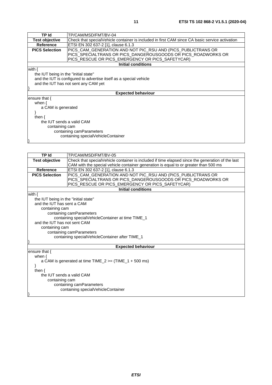| TP Id                                | TP/CAM/MSD/FMT/BV-04                                                                           |  |  |
|--------------------------------------|------------------------------------------------------------------------------------------------|--|--|
| <b>Test objective</b>                | Check that specialVehicle container is included in first CAM since CA basic service activation |  |  |
| Reference                            | ETSI EN 302 637-2 [1], clause 6.1.3                                                            |  |  |
| <b>PICS Selection</b>                | PICS_CAM_GENERATION AND NOT PIC_RSU AND (PICS_PUBLICTRANS OR                                   |  |  |
|                                      | PICS_SPECIALTRANS OR PICS_DANGEROUSGOODS OR PICS_ROADWORKS OR                                  |  |  |
|                                      | PICS_RESCUE OR PICS_EMERGENCY OR PICS_SAFETYCAR)                                               |  |  |
|                                      | <b>Initial conditions</b>                                                                      |  |  |
| with $\{$                            |                                                                                                |  |  |
| the IUT being in the "initial state" |                                                                                                |  |  |
|                                      | and the IUT is configured to advertise itself as a special vehicle                             |  |  |
|                                      | and the IUT has not sent any CAM yet                                                           |  |  |
|                                      |                                                                                                |  |  |
|                                      | <b>Expected behaviour</b>                                                                      |  |  |
| lensure that {                       |                                                                                                |  |  |
| when $\{$                            |                                                                                                |  |  |
| a CAM is generated                   |                                                                                                |  |  |
|                                      |                                                                                                |  |  |
| then $\{$                            |                                                                                                |  |  |
| the IUT sends a valid CAM            |                                                                                                |  |  |
| containing cam                       |                                                                                                |  |  |
| containing camParameters             |                                                                                                |  |  |
| containing specialVehicleContainer   |                                                                                                |  |  |
|                                      |                                                                                                |  |  |

| TP Id                                                              | TP/CAM/MSD/FMT/BV-05                                                                             |  |  |
|--------------------------------------------------------------------|--------------------------------------------------------------------------------------------------|--|--|
| <b>Test objective</b>                                              | Check that specialVehicle container is included if time elapsed since the generation of the last |  |  |
|                                                                    | CAM with the special vehicle container generation is equal to or greater than 500 ms             |  |  |
| <b>Reference</b>                                                   | ETSI EN 302 637-2 [1], clause 6.1.3                                                              |  |  |
| <b>PICS Selection</b>                                              | PICS_CAM_GENERATION AND NOT PIC_RSU AND (PICS_PUBLICTRANS OR                                     |  |  |
|                                                                    | PICS_SPECIALTRANS OR PICS_DANGEROUSGOODS OR PICS_ROADWORKS OR                                    |  |  |
|                                                                    | PICS_RESCUE OR PICS_EMERGENCY OR PICS_SAFETYCAR)                                                 |  |  |
|                                                                    | <b>Initial conditions</b>                                                                        |  |  |
| with $\{$                                                          |                                                                                                  |  |  |
| the IUT being in the "initial state"                               |                                                                                                  |  |  |
| and the IUT has sent a CAM                                         |                                                                                                  |  |  |
| containing cam                                                     |                                                                                                  |  |  |
|                                                                    | containing camParameters                                                                         |  |  |
|                                                                    | containing specialVehicleContainer at time TIME 1                                                |  |  |
| and the IUT has not sent CAM                                       |                                                                                                  |  |  |
| containing cam                                                     |                                                                                                  |  |  |
|                                                                    | containing camParameters                                                                         |  |  |
|                                                                    | containing specialVehicleContainer after TIME_1                                                  |  |  |
|                                                                    |                                                                                                  |  |  |
|                                                                    | <b>Expected behaviour</b>                                                                        |  |  |
| ensure that $\{$                                                   |                                                                                                  |  |  |
|                                                                    | when $\{$                                                                                        |  |  |
| a CAM is generated at time $TIME_2 \geq (TIME_1 + 500 \text{ ms})$ |                                                                                                  |  |  |
| then $\{$                                                          |                                                                                                  |  |  |
| the IUT sends a valid CAM                                          |                                                                                                  |  |  |
| containing cam                                                     |                                                                                                  |  |  |
| containing camParameters                                           |                                                                                                  |  |  |
| containing specialVehicleContainer                                 |                                                                                                  |  |  |
|                                                                    |                                                                                                  |  |  |
|                                                                    |                                                                                                  |  |  |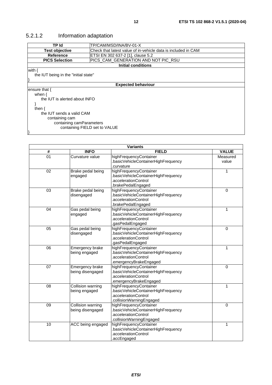| TP Id                                                                                  | TP/CAM/MSD/INA/BV-01-X              |  |
|----------------------------------------------------------------------------------------|-------------------------------------|--|
| <b>Test objective</b><br>Check that latest value of in-vehicle data is included in CAM |                                     |  |
| Reference                                                                              | ETSI EN 302 637-2 [1], clause 5.2   |  |
| <b>PICS Selection</b>                                                                  | PICS_CAM_GENERATION AND NOT PIC_RSU |  |
|                                                                                        | <b>Initial conditions</b>           |  |
| with $\{$                                                                              |                                     |  |
| the IUT being in the "initial state"                                                   |                                     |  |
|                                                                                        |                                     |  |
|                                                                                        | <b>Expected behaviour</b>           |  |
| ensure that $\{$                                                                       |                                     |  |
| when $\{$                                                                              |                                     |  |
| the IUT is alerted about INFO                                                          |                                     |  |
|                                                                                        |                                     |  |
| then $\{$                                                                              |                                     |  |
| the IUT sends a valid CAM                                                              |                                     |  |
| containing cam                                                                         |                                     |  |
| containing camParameters                                                               |                                     |  |
| containing FIELD set to VALUE                                                          |                                     |  |

### <span id="page-11-0"></span>5.2.1.2 Information adaptation

 $\vert$ 

| <b>Variants</b> |                                       |                                                                                                                   |                   |
|-----------------|---------------------------------------|-------------------------------------------------------------------------------------------------------------------|-------------------|
| #               | <b>INFO</b>                           | <b>FIELD</b>                                                                                                      | <b>VALUE</b>      |
| 01              | Curvature value                       | highFrequencyContainer<br>.basicVehicleContainerHighFrequency<br>.curvature                                       | Measured<br>value |
| 02              | Brake pedal being<br>engaged          | highFrequencyContainer<br>.basicVehicleContainerHighFrequency<br>.accelerationControl<br>.brakePedalEngaged       | 1                 |
| 03              | Brake pedal being<br>disengaged       | highFrequencyContainer<br>.basicVehicleContainerHighFrequency<br>.accelerationControl<br>.brakePedalEngaged       | $\mathbf 0$       |
| 04              | Gas pedal being<br>engaged            | highFrequencyContainer<br>.basicVehicleContainerHighFrequency<br>.accelerationControl<br>.gasPedalEngaged         | 1                 |
| 05              | Gas pedal being<br>disengaged         | highFrequencyContainer<br>.basicVehicleContainerHighFrequency<br>.accelerationControl<br>.gasPedalEngaged         | $\Omega$          |
| $\overline{06}$ | Emergency brake<br>being engaged      | highFrequencyContainer<br>.basicVehicleContainerHighFrequency<br>.accelerationControl<br>.emergencyBrakeEngaged   | 1                 |
| 07              | Emergency brake<br>being disengaged   | highFrequencyContainer<br>.basicVehicleContainerHighFrequency<br>.accelerationControl<br>emergencyBrakeEngaged    | $\mathbf 0$       |
| 08              | Collision warning<br>being engaged    | highFrequencyContainer<br>.basicVehicleContainerHighFrequency<br>.accelerationControl<br>.collisionWarningEngaged | 1                 |
| $\overline{09}$ | Collision warning<br>being disengaged | highFrequencyContainer<br>.basicVehicleContainerHighFrequency<br>.accelerationControl<br>.collisionWarningEngaged | 0                 |
| 10              | ACC being engaged                     | highFrequencyContainer<br>.basicVehicleContainerHighFrequency<br>.accelerationControl<br>.accEngaged              | 1                 |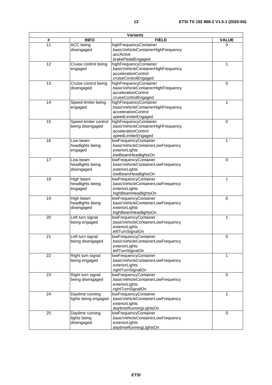| <b>Variants</b> |                                               |                                                                                                                                     |              |
|-----------------|-----------------------------------------------|-------------------------------------------------------------------------------------------------------------------------------------|--------------|
| #               | <b>INFO</b>                                   | <b>FIELD</b>                                                                                                                        | <b>VALUE</b> |
| $\overline{11}$ | <b>ACC</b> being<br>disengaged                | highFrequencyContainer<br>.basicVehicleContainerHighFrequency<br>.accActive                                                         | 0            |
| 12              | Cruise control being<br>engaged               | brakePedalEngaged<br>highFrequencyContainer<br>.basicVehicleContainerHighFrequency<br>.accelerationControl<br>.cruiseControlEngaged | 1            |
| 13              | Cruise control being<br>disengaged            | highFrequencyContainer<br>.basicVehicleContainerHighFrequency<br>.accelerationControl<br>.cruiseControlEngaged                      | 0            |
| 14              | Speed limiter being<br>engaged                | highFrequencyContainer<br>.basicVehicleContainerHighFrequency<br>.accelerationControl<br>.speedLimiterEngaged                       | 1            |
| 15              | Speed limiter control<br>being disengaged     | highFrequencyContainer<br>basicVehicleContainerHighFrequency<br>.accelerationControl<br>.speedLimiterEngaged                        | 0            |
| 16              | Low beam<br>headlights being<br>engaged       | lowFrequencyContainer<br>.basicVehicleContainerLowFrequency<br>exteriorLights<br>.lowBeamHeadlightsOn                               | $\mathbf{1}$ |
| 17              | Low beam<br>headlights being<br>disengaged    | lowFrequencyContainer<br>.basicVehicleContainerLowFrequency<br>exteriorLights.<br>.lowBeamHeadlightsOn                              | 0            |
| 18              | High beam<br>headlights being<br>engaged      | lowFrequencyContainer<br>.basicVehicleContainerLowFrequency<br>exteriorLights.<br>highBeamHeadlightsOn.                             | $\mathbf{1}$ |
| 19              | High beam<br>headlights being<br>disengaged   | lowFrequencyContainer<br>.basicVehicleContainerLowFrequency<br>exteriorLights.<br>highBeamHeadlightsOn.                             | 0            |
| 20              | Left turn signal<br>being engaged             | lowFrequencyContainer<br>.basicVehicleContainerLowFrequency<br>exteriorLights<br>.leftTurnSignalOn                                  | 1            |
| 21              | Left turn signal<br>being disengaged          | lowFrequencyContainer<br>basicVehicleContainerLowFrequency<br>exteriorLights.<br>.leftTurnSignalOn                                  | 0            |
| 22              | Right turn signal<br>being engaged            | lowFrequencyContainer<br>basicVehicleContainerLowFrequency<br>.exteriorLights<br>.rightTurnSignalOn                                 | 1            |
| 23              | Right turn signal<br>being disengaged         | lowFrequencyContainer<br>.basicVehicleContainerLowFrequency<br>.exteriorLights<br>rightTurnSignalOn                                 | 0            |
| 24              | Daytime running<br>lights being engaged       | lowFrequencyContainer<br>.basicVehicleContainerLowFrequency<br>.exteriorLights<br>.daytimeRunningLightsOn                           | 1            |
| 25              | Daytime running<br>lights being<br>disengaged | lowFrequencyContainer<br>basicVehicleContainerLowFrequency<br>.exteriorLights<br>daytimeRunningLightsOn                             | 0            |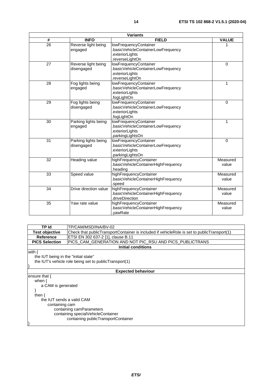|    |                                    | <b>Variants</b>                                                                                  |                   |
|----|------------------------------------|--------------------------------------------------------------------------------------------------|-------------------|
| #  | <b>INFO</b>                        | <b>FIELD</b>                                                                                     | <b>VALUE</b>      |
| 26 | Reverse light being<br>engaged     | lowFrequencyContainer<br>basicVehicleContainerLowFrequency<br>exteriorLights.<br>.reverseLightOn |                   |
| 27 | Reverse light being<br>disengaged  | lowFrequencyContainer<br>basicVehicleContainerLowFrequency<br>exteriorLights<br>.reverseLightOn  | $\mathbf 0$       |
| 28 | Fog lights being<br>engaged        | lowFrequencyContainer<br>basicVehicleContainerLowFrequency<br>exteriorLights<br>.fogLightOn      |                   |
| 29 | Fog lights being<br>disengaged     | lowFrequencyContainer<br>basicVehicleContainerLowFrequency<br>exteriorLights.<br>.fogLightOn     | $\Omega$          |
| 30 | Parking lights being<br>engaged    | lowFrequencyContainer<br>basicVehicleContainerLowFrequency<br>exteriorLights.<br>parkingLightsOn | 1                 |
| 31 | Parking lights being<br>disengaged | lowFrequencyContainer<br>basicVehicleContainerLowFrequency<br>exteriorLights<br>parkingLightsOn  | $\mathbf{0}$      |
| 32 | Heading value                      | highFrequencyContainer<br>basicVehicleContainerHighFrequency<br>heading                          | Measured<br>value |

| $\overline{\phantom{a}}$ | . .vuuniy vuiuv       | .basicVehicleContainerHighFrequency<br>heading.                                  | ,,,,,,,,,,,,<br>value |
|--------------------------|-----------------------|----------------------------------------------------------------------------------|-----------------------|
| 33                       | Speed value           | highFrequencyContainer<br>.basicVehicleContainerHighFrequency<br>.speed          | Measured<br>value     |
| 34                       | Drive direction value | highFrequencyContainer<br>.basicVehicleContainerHighFrequency<br>.driveDirection | Measured<br>value     |
| 35                       | Yaw rate value        | highFrequencyContainer<br>.basicVehicleContainerHighFrequency<br>.vawRate        | Measured<br>value     |

| TP Id                 | ITP/CAM/MSD/INA/BV-02                                                                       |
|-----------------------|---------------------------------------------------------------------------------------------|
| <b>Test objective</b> | Check that publicTransportContainer is included if vehicleRole is set to publicTransport(1) |
| Reference             | <b>ETSI EN 302 637-2 [1], clause B.11</b>                                                   |
| <b>PICS Selection</b> | PICS_CAM_GENERATION AND NOT PIC_RSU AND PICS_PUBLICTRANS                                    |
|                       | Initial conditions                                                                          |
| .                     |                                                                                             |

with {

}

}

 the IUT being in the "initial state" the IUT's vehicle role being set to publicTransport(1)

#### **Expected behaviour**

ensure that { when {

}

 a CAM is generated then { the IUT sends a valid CAM containing cam containing camParameters containing specialVehicleContainer containing publicTransportContainer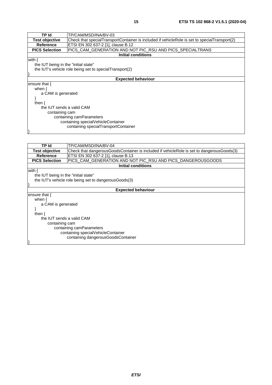| TP Id                                | TP/CAM/MSD/INA/BV-03                                                                           |
|--------------------------------------|------------------------------------------------------------------------------------------------|
| <b>Test objective</b>                | (Check that specialTransportContainer is included if vehicleRole is set to specialTransport(2) |
| Reference                            | ETSI EN 302 637-2 [1], clause B.12                                                             |
| <b>PICS Selection</b>                | PICS_CAM_GENERATION AND NOT PIC_RSU AND PICS_SPECIALTRANS                                      |
|                                      | <b>Initial conditions</b>                                                                      |
| with {                               |                                                                                                |
| the IUT being in the "initial state" |                                                                                                |
|                                      | the IUT's vehicle role being set to specialTransport(2)                                        |
|                                      |                                                                                                |
|                                      | <b>Expected behaviour</b>                                                                      |
| ensure that $\{$                     |                                                                                                |
| when $\{$                            |                                                                                                |
| a CAM is generated                   |                                                                                                |
|                                      |                                                                                                |
| then $\{$                            |                                                                                                |
| the IUT sends a valid CAM            |                                                                                                |
| containing cam                       |                                                                                                |
| containing camParameters             |                                                                                                |
| containing specialVehicleContainer   |                                                                                                |
| containing specialTransportContainer |                                                                                                |
|                                      |                                                                                                |
|                                      |                                                                                                |

| TP Id                                | TP/CAM/MSD/INA/BV-04                                                                      |  |
|--------------------------------------|-------------------------------------------------------------------------------------------|--|
| <b>Test objective</b>                | Check that dangerousGoodsContainer is included if vehicleRole is set to dangerousGoods(3) |  |
| Reference                            | ETSI EN 302 637-2 [1], clause B.13                                                        |  |
| <b>PICS Selection</b>                | PICS_CAM_GENERATION AND NOT PIC_RSU AND PICS_DANGEROUSGOODS                               |  |
|                                      | <b>Initial conditions</b>                                                                 |  |
| with $\{$                            |                                                                                           |  |
| the IUT being in the "initial state" |                                                                                           |  |
|                                      | the IUT's vehicle role being set to dangerous Goods(3)                                    |  |
|                                      |                                                                                           |  |
|                                      | <b>Expected behaviour</b>                                                                 |  |
| ensure that {                        |                                                                                           |  |
| when $\{$                            |                                                                                           |  |
| a CAM is generated                   |                                                                                           |  |
|                                      |                                                                                           |  |
| then $\{$                            |                                                                                           |  |
| the IUT sends a valid CAM            |                                                                                           |  |
| containing cam                       |                                                                                           |  |
| containing camParameters             |                                                                                           |  |
| containing specialVehicleContainer   |                                                                                           |  |
| containing dangerous Goods Container |                                                                                           |  |
|                                      |                                                                                           |  |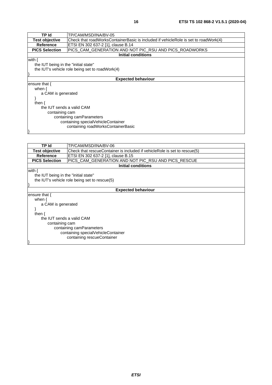| TP Id                                | TP/CAM/MSD/INA/BV-05                                                                |  |
|--------------------------------------|-------------------------------------------------------------------------------------|--|
| <b>Test objective</b>                | Check that roadWorksContainerBasic is included if vehicleRole is set to roadWork(4) |  |
| <b>Reference</b>                     | ETSI EN 302 637-2 [1], clause B.14                                                  |  |
| <b>PICS Selection</b>                | PICS_CAM_GENERATION AND NOT PIC_RSU AND PICS_ROADWORKS                              |  |
|                                      | <b>Initial conditions</b>                                                           |  |
| with $\{$                            |                                                                                     |  |
| the IUT being in the "initial state" |                                                                                     |  |
|                                      | the IUT's vehicle role being set to road Work(4)                                    |  |
|                                      |                                                                                     |  |
|                                      | <b>Expected behaviour</b>                                                           |  |
| ensure that {                        |                                                                                     |  |
| when $\{$                            |                                                                                     |  |
| a CAM is generated                   |                                                                                     |  |
|                                      |                                                                                     |  |
| then $\{$                            |                                                                                     |  |
| the IUT sends a valid CAM            |                                                                                     |  |
| containing cam                       |                                                                                     |  |
| containing camParameters             |                                                                                     |  |
| containing specialVehicleContainer   |                                                                                     |  |
| containing roadWorksContainerBasic   |                                                                                     |  |
|                                      |                                                                                     |  |

| TP Id                                | TP/CAM/MSD/INA/BV-06                                                      |  |
|--------------------------------------|---------------------------------------------------------------------------|--|
| <b>Test objective</b>                | Check that rescueContainer is included if vehicleRole is set to rescue(5) |  |
| <b>Reference</b>                     | ETSI EN 302 637-2 [1], clause B.15                                        |  |
| <b>PICS Selection</b>                | PICS_CAM_GENERATION AND NOT PIC_RSU AND PICS_RESCUE                       |  |
|                                      | <b>Initial conditions</b>                                                 |  |
| with $\{$                            |                                                                           |  |
| the IUT being in the "initial state" |                                                                           |  |
|                                      | the IUT's vehicle role being set to rescue(5)                             |  |
|                                      |                                                                           |  |
|                                      | <b>Expected behaviour</b>                                                 |  |
| ensure that {                        |                                                                           |  |
| when $\{$                            |                                                                           |  |
| a CAM is generated                   |                                                                           |  |
|                                      |                                                                           |  |
| then $\{$                            |                                                                           |  |
| the IUT sends a valid CAM            |                                                                           |  |
| containing cam                       |                                                                           |  |
| containing camParameters             |                                                                           |  |
| containing specialVehicleContainer   |                                                                           |  |
| containing rescueContainer           |                                                                           |  |
|                                      |                                                                           |  |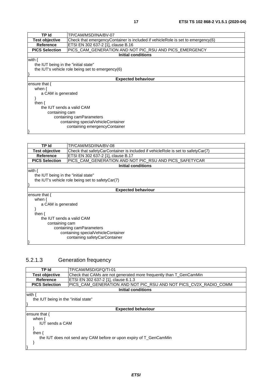<span id="page-16-0"></span>

| TP Id                                | TP/CAM/MSD/INA/BV-07                                                            |  |
|--------------------------------------|---------------------------------------------------------------------------------|--|
| <b>Test objective</b>                | Check that emergencyContainer is included if vehicleRole is set to emergency(6) |  |
| <b>Reference</b>                     | ETSI EN 302 637-2 [1], clause B.16                                              |  |
| <b>PICS Selection</b>                | PICS_CAM_GENERATION AND NOT PIC_RSU AND PICS_EMERGENCY                          |  |
|                                      | Initial conditions                                                              |  |
| with $\{$                            |                                                                                 |  |
| the IUT being in the "initial state" |                                                                                 |  |
|                                      | the IUT's vehicle role being set to emergency(6)                                |  |
|                                      |                                                                                 |  |
|                                      | <b>Expected behaviour</b>                                                       |  |
| lensure that {                       |                                                                                 |  |
| when $\{$                            |                                                                                 |  |
| a CAM is generated                   |                                                                                 |  |
|                                      |                                                                                 |  |
| then $\{$                            |                                                                                 |  |
| the IUT sends a valid CAM            |                                                                                 |  |
| containing cam                       |                                                                                 |  |
| containing camParameters             |                                                                                 |  |
|                                      | containing specialVehicleContainer                                              |  |
|                                      | containing emergencyContainer                                                   |  |
|                                      |                                                                                 |  |

| TP Id                                | TP/CAM/MSD/INA/BV-08                                                            |  |
|--------------------------------------|---------------------------------------------------------------------------------|--|
| <b>Test objective</b>                | Check that safetyCarContainer is included if vehicleRole is set to safetyCar(7) |  |
| <b>Reference</b>                     | ETSI EN 302 637-2 [1], clause B.17                                              |  |
| <b>PICS Selection</b>                | PICS_CAM_GENERATION AND NOT PIC_RSU AND PICS_SAFETYCAR                          |  |
|                                      | Initial conditions                                                              |  |
| with $\{$                            |                                                                                 |  |
| the IUT being in the "initial state" |                                                                                 |  |
|                                      | the IUT's vehicle role being set to safetyCar(7)                                |  |
|                                      |                                                                                 |  |
|                                      | <b>Expected behaviour</b>                                                       |  |
| ensure that $\{$                     |                                                                                 |  |
| when $\{$                            |                                                                                 |  |
| a CAM is generated                   |                                                                                 |  |
|                                      |                                                                                 |  |
| then $\{$                            |                                                                                 |  |
| the IUT sends a valid CAM            |                                                                                 |  |
| containing cam                       |                                                                                 |  |
| containing camParameters             |                                                                                 |  |
| containing specialVehicleContainer   |                                                                                 |  |
| containing safetyCarContainer        |                                                                                 |  |
|                                      |                                                                                 |  |

### 5.2.1.3 Generation frequency

| TP Id                                                              | TP/CAM/MSD/GFQ/TI-01                                               |
|--------------------------------------------------------------------|--------------------------------------------------------------------|
| <b>Test objective</b>                                              | Check that CAMs are not generated more frequently than T_GenCamMin |
| Reference                                                          | ETSI EN 302 637-2 [1], clause 6.1.3                                |
| <b>PICS Selection</b>                                              | PICS CAM GENERATION AND NOT PIC RSU AND NOT PICS CV2X RADIO COMM   |
|                                                                    | <b>Initial conditions</b>                                          |
| with .                                                             |                                                                    |
| the IUT being in the "initial state"                               |                                                                    |
|                                                                    |                                                                    |
|                                                                    | <b>Expected behaviour</b>                                          |
| ensure that $\{$                                                   |                                                                    |
| when $\{$                                                          |                                                                    |
| <b>IUT</b> sends a CAM                                             |                                                                    |
|                                                                    |                                                                    |
| then $\{$                                                          |                                                                    |
| the IUT does not send any CAM before or upon expiry of T_GenCamMin |                                                                    |
|                                                                    |                                                                    |
|                                                                    |                                                                    |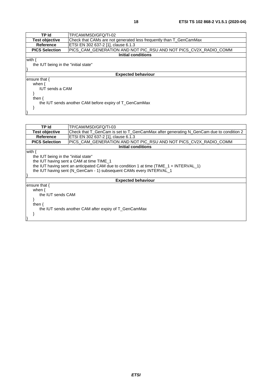}

| TP Id                                                 | TP/CAM/MSD/GFQ/TI-03                                                                    |  |
|-------------------------------------------------------|-----------------------------------------------------------------------------------------|--|
| <b>Test objective</b>                                 | Check that T_GenCam is set to T_GenCamMax after generating N_GenCam due to condition 2  |  |
| Reference                                             | ETSI EN 302 637-2 [1], clause 6.1.3                                                     |  |
| <b>PICS Selection</b>                                 | PICS_CAM_GENERATION AND NOT PIC_RSU AND NOT PICS_CV2X_RADIO_COMM                        |  |
|                                                       | Initial conditions                                                                      |  |
| with {                                                |                                                                                         |  |
| the IUT being in the "initial state"                  |                                                                                         |  |
|                                                       | the IUT having sent a CAM at time TIME_1                                                |  |
|                                                       | the IUT having sent an anticipated CAM due to condition 1 at time (TIME_1 + INTERVAL_1) |  |
|                                                       | the IUT having sent (N_GenCam - 1) subsequent CAMs every INTERVAL_1                     |  |
|                                                       |                                                                                         |  |
|                                                       | <b>Expected behaviour</b>                                                               |  |
| ensure that {                                         |                                                                                         |  |
| when $\{$                                             |                                                                                         |  |
| the IUT sends CAM                                     |                                                                                         |  |
|                                                       |                                                                                         |  |
| then $\{$                                             |                                                                                         |  |
| the IUT sends another CAM after expiry of T_GenCamMax |                                                                                         |  |
|                                                       |                                                                                         |  |
|                                                       |                                                                                         |  |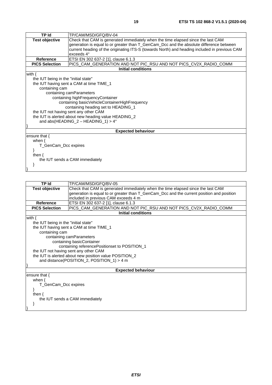| <b>TP Id</b>                                                                                              | TP/CAM/MSD/GFQ/BV-04                                             |  |  |
|-----------------------------------------------------------------------------------------------------------|------------------------------------------------------------------|--|--|
| <b>Test objective</b><br>Check that CAM is generated immediately when the time elapsed since the last CAM |                                                                  |  |  |
| generation is equal to or greater than T_GenCam_Dcc and the absolute difference between                   |                                                                  |  |  |
| current heading of the originating ITS-S (towards North) and heading included in previous CAM             |                                                                  |  |  |
| exceeds 4°                                                                                                |                                                                  |  |  |
| <b>Reference</b>                                                                                          | ETSI EN 302 637-2 [1], clause 6.1.3                              |  |  |
| <b>PICS Selection</b>                                                                                     | PICS_CAM_GENERATION AND NOT PIC_RSU AND NOT PICS_CV2X_RADIO_COMM |  |  |
|                                                                                                           | <b>Initial conditions</b>                                        |  |  |
| with $\{$                                                                                                 |                                                                  |  |  |
| the IUT being in the "initial state"                                                                      |                                                                  |  |  |
|                                                                                                           | the IUT having sent a CAM at time TIME_1                         |  |  |
| containing cam                                                                                            |                                                                  |  |  |
|                                                                                                           | containing camParameters                                         |  |  |
|                                                                                                           | containing highFrequencyContainer                                |  |  |
| containing basicVehicleContainerHighFrequency                                                             |                                                                  |  |  |
| containing heading set to HEADING_1                                                                       |                                                                  |  |  |
| the IUT not having sent any other CAM                                                                     |                                                                  |  |  |
|                                                                                                           | the IUT is alerted about new heading value HEADING_2             |  |  |
| and abs(HEADING_2 - HEADING_1) > $4^{\circ}$                                                              |                                                                  |  |  |
|                                                                                                           |                                                                  |  |  |
|                                                                                                           | <b>Expected behaviour</b>                                        |  |  |
| ensure that $\{$                                                                                          |                                                                  |  |  |
| when $\{$                                                                                                 |                                                                  |  |  |
| T_GenCam_Dcc expires                                                                                      |                                                                  |  |  |
|                                                                                                           |                                                                  |  |  |
| then $\{$                                                                                                 |                                                                  |  |  |
| the IUT sends a CAM immediately                                                                           |                                                                  |  |  |
|                                                                                                           |                                                                  |  |  |
|                                                                                                           |                                                                  |  |  |

|                                                                                                           | TP/CAM/MSD/GFQ/BV-05<br>TP Id                                    |  |  |  |
|-----------------------------------------------------------------------------------------------------------|------------------------------------------------------------------|--|--|--|
| <b>Test objective</b><br>Check that CAM is generated immediately when the time elapsed since the last CAM |                                                                  |  |  |  |
| generation is equal to or greater than T_GenCam_Dcc and the current position and position                 |                                                                  |  |  |  |
|                                                                                                           | included in previous CAM exceeds 4 m                             |  |  |  |
| <b>Reference</b>                                                                                          | ETSI EN 302 637-2 [1], clause 6.1.3                              |  |  |  |
| <b>PICS Selection</b>                                                                                     | PICS_CAM_GENERATION AND NOT PIC_RSU AND NOT PICS_CV2X_RADIO_COMM |  |  |  |
|                                                                                                           | <b>Initial conditions</b>                                        |  |  |  |
| with $\{$                                                                                                 |                                                                  |  |  |  |
| the IUT being in the "initial state"                                                                      |                                                                  |  |  |  |
|                                                                                                           | the IUT having sent a CAM at time TIME_1                         |  |  |  |
| containing cam                                                                                            |                                                                  |  |  |  |
|                                                                                                           | containing camParameters                                         |  |  |  |
|                                                                                                           | containing basicContainer                                        |  |  |  |
|                                                                                                           | containing reference Positionset to POSITION_1                   |  |  |  |
|                                                                                                           | the IUT not having sent any other CAM                            |  |  |  |
|                                                                                                           | the IUT is alerted about new position value POSITION_2           |  |  |  |
|                                                                                                           | and distance(POSITION_2, POSITION_1) > 4 m                       |  |  |  |
|                                                                                                           |                                                                  |  |  |  |
|                                                                                                           | <b>Expected behaviour</b>                                        |  |  |  |
| ensure that $\{$                                                                                          |                                                                  |  |  |  |
| when $\{$                                                                                                 |                                                                  |  |  |  |
| T_GenCam_Dcc expires                                                                                      |                                                                  |  |  |  |
|                                                                                                           |                                                                  |  |  |  |
| then $\{$                                                                                                 |                                                                  |  |  |  |
| the IUT sends a CAM immediately                                                                           |                                                                  |  |  |  |
|                                                                                                           |                                                                  |  |  |  |
|                                                                                                           |                                                                  |  |  |  |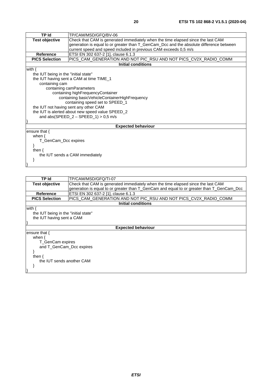|                                                                                                           | <b>TP Id</b><br>TP/CAM/MSD/GFQ/BV-06                                                    |  |  |
|-----------------------------------------------------------------------------------------------------------|-----------------------------------------------------------------------------------------|--|--|
| <b>Test objective</b><br>Check that CAM is generated immediately when the time elapsed since the last CAM |                                                                                         |  |  |
|                                                                                                           | generation is equal to or greater than T_GenCam_Dcc and the absolute difference between |  |  |
| current speed and speed included in previous CAM exceeds 0,5 m/s                                          |                                                                                         |  |  |
| <b>Reference</b>                                                                                          | ETSI EN 302 637-2 [1], clause 6.1.3                                                     |  |  |
| <b>PICS Selection</b><br>PICS_CAM_GENERATION AND NOT PIC_RSU AND NOT PICS_CV2X_RADIO_COMM                 |                                                                                         |  |  |
|                                                                                                           | <b>Initial conditions</b>                                                               |  |  |
| with $\{$                                                                                                 |                                                                                         |  |  |
| the IUT being in the "initial state"                                                                      |                                                                                         |  |  |
|                                                                                                           | the IUT having sent a CAM at time TIME_1                                                |  |  |
| containing cam                                                                                            |                                                                                         |  |  |
|                                                                                                           | containing camParameters                                                                |  |  |
|                                                                                                           | containing highFrequencyContainer                                                       |  |  |
|                                                                                                           | containing basicVehicleContainerHighFrequency                                           |  |  |
|                                                                                                           | containing speed set to SPEED_1                                                         |  |  |
| the IUT not having sent any other CAM                                                                     |                                                                                         |  |  |
|                                                                                                           | the IUT is alerted about new speed value SPEED_2                                        |  |  |
| and abs(SPEED_2 - SPEED_1) > $0,5$ m/s                                                                    |                                                                                         |  |  |
|                                                                                                           |                                                                                         |  |  |
|                                                                                                           | <b>Expected behaviour</b>                                                               |  |  |
| ensure that $\{$                                                                                          |                                                                                         |  |  |
| when $\{$                                                                                                 |                                                                                         |  |  |
| T_GenCam_Dcc expires                                                                                      |                                                                                         |  |  |
|                                                                                                           |                                                                                         |  |  |
| then $\{$                                                                                                 |                                                                                         |  |  |
| the IUT sends a CAM immediately                                                                           |                                                                                         |  |  |
|                                                                                                           |                                                                                         |  |  |
|                                                                                                           |                                                                                         |  |  |

| TP Id                                                                                     | TP/CAM/MSD/GFQ/TI-07                                                             |  |  |
|-------------------------------------------------------------------------------------------|----------------------------------------------------------------------------------|--|--|
| <b>Test objective</b>                                                                     | Check that CAM is generated immediately when the time elapsed since the last CAM |  |  |
| generation is equal to or greater than T_GenCam and equal to or greater than T_GenCam_Dcc |                                                                                  |  |  |
| <b>Reference</b>                                                                          | ETSI EN 302 637-2 [1], clause 6.1.3                                              |  |  |
| <b>PICS Selection</b>                                                                     | PICS_CAM_GENERATION AND NOT PIC_RSU AND NOT PICS_CV2X_RADIO_COMM                 |  |  |
|                                                                                           | <b>Initial conditions</b>                                                        |  |  |
| with {                                                                                    |                                                                                  |  |  |
| the IUT being in the "initial state"                                                      |                                                                                  |  |  |
| the IUT having sent a CAM                                                                 |                                                                                  |  |  |
|                                                                                           |                                                                                  |  |  |
|                                                                                           | <b>Expected behaviour</b>                                                        |  |  |
| ensure that {                                                                             |                                                                                  |  |  |
| when $\{$                                                                                 |                                                                                  |  |  |
| T GenCam expires                                                                          |                                                                                  |  |  |
| and T GenCam Dcc expires                                                                  |                                                                                  |  |  |
|                                                                                           |                                                                                  |  |  |
| then $\{$                                                                                 |                                                                                  |  |  |
| the IUT sends another CAM                                                                 |                                                                                  |  |  |
|                                                                                           |                                                                                  |  |  |
|                                                                                           |                                                                                  |  |  |
|                                                                                           |                                                                                  |  |  |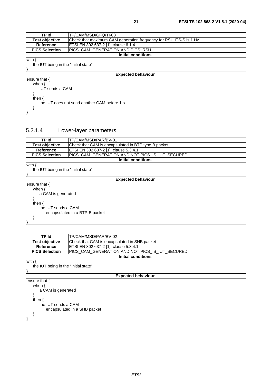<span id="page-20-0"></span>

| <b>TP Id</b><br>TP/CAM/MSD/GFQ/TI-08<br>Check that maximum CAM generation frequency for RSU ITS-S is 1 Hz<br><b>Test objective</b><br>Reference<br>ETSI EN 302 637-2 [1], clause 6.1.4<br>PICS_CAM_GENERATION AND PICS_RSU<br><b>PICS Selection</b><br><b>Initial conditions</b><br>the IUT being in the "initial state"<br><b>Expected behaviour</b><br>when $\{$<br><b>IUT</b> sends a CAM<br>then $\{$<br>the IUT does not send another CAM before 1 s |               |  |  |  |  |
|-----------------------------------------------------------------------------------------------------------------------------------------------------------------------------------------------------------------------------------------------------------------------------------------------------------------------------------------------------------------------------------------------------------------------------------------------------------|---------------|--|--|--|--|
|                                                                                                                                                                                                                                                                                                                                                                                                                                                           |               |  |  |  |  |
|                                                                                                                                                                                                                                                                                                                                                                                                                                                           |               |  |  |  |  |
|                                                                                                                                                                                                                                                                                                                                                                                                                                                           |               |  |  |  |  |
|                                                                                                                                                                                                                                                                                                                                                                                                                                                           |               |  |  |  |  |
|                                                                                                                                                                                                                                                                                                                                                                                                                                                           |               |  |  |  |  |
|                                                                                                                                                                                                                                                                                                                                                                                                                                                           | with {        |  |  |  |  |
|                                                                                                                                                                                                                                                                                                                                                                                                                                                           |               |  |  |  |  |
|                                                                                                                                                                                                                                                                                                                                                                                                                                                           |               |  |  |  |  |
|                                                                                                                                                                                                                                                                                                                                                                                                                                                           |               |  |  |  |  |
|                                                                                                                                                                                                                                                                                                                                                                                                                                                           | ensure that { |  |  |  |  |
|                                                                                                                                                                                                                                                                                                                                                                                                                                                           |               |  |  |  |  |
|                                                                                                                                                                                                                                                                                                                                                                                                                                                           |               |  |  |  |  |
|                                                                                                                                                                                                                                                                                                                                                                                                                                                           |               |  |  |  |  |
|                                                                                                                                                                                                                                                                                                                                                                                                                                                           |               |  |  |  |  |
|                                                                                                                                                                                                                                                                                                                                                                                                                                                           |               |  |  |  |  |
|                                                                                                                                                                                                                                                                                                                                                                                                                                                           |               |  |  |  |  |
|                                                                                                                                                                                                                                                                                                                                                                                                                                                           |               |  |  |  |  |

### 5.2.1.4 Lower-layer parameters

| TP Id                                | TP/CAM/MSD/PAR/BV-01                                |  |  |  |
|--------------------------------------|-----------------------------------------------------|--|--|--|
| <b>Test objective</b>                | Check that CAM is encapsulated in BTP type B packet |  |  |  |
| <b>Reference</b>                     | ETSI EN 302 637-2 [1], clause 5.3.4.1               |  |  |  |
| <b>PICS Selection</b>                | PICS_CAM_GENERATION AND NOT PICS_IS_IUT_SECURED     |  |  |  |
|                                      | Initial conditions                                  |  |  |  |
| with .                               |                                                     |  |  |  |
| the IUT being in the "initial state" |                                                     |  |  |  |
|                                      |                                                     |  |  |  |
|                                      | <b>Expected behaviour</b>                           |  |  |  |
| ensure that {                        |                                                     |  |  |  |
| when $\{$                            |                                                     |  |  |  |
|                                      | a CAM is generated                                  |  |  |  |
|                                      |                                                     |  |  |  |
| then $\{$                            |                                                     |  |  |  |
| the IUT sends a CAM                  |                                                     |  |  |  |
| encapsulated in a BTP-B packet       |                                                     |  |  |  |
|                                      |                                                     |  |  |  |
|                                      |                                                     |  |  |  |

| TP Id                                | TP/CAM/MSD/PAR/BV-02                            |  |  |
|--------------------------------------|-------------------------------------------------|--|--|
| <b>Test objective</b>                | Check that CAM is encapsulated in SHB packet    |  |  |
| <b>Reference</b>                     | ETSI EN 302 637-2 [1], clause 5.3.4.1           |  |  |
| <b>PICS Selection</b>                | PICS_CAM_GENERATION AND NOT PICS_IS_IUT_SECURED |  |  |
|                                      | <b>Initial conditions</b>                       |  |  |
| with {                               |                                                 |  |  |
| the IUT being in the "initial state" |                                                 |  |  |
|                                      |                                                 |  |  |
|                                      | <b>Expected behaviour</b>                       |  |  |
| ensure that {                        |                                                 |  |  |
| when {                               |                                                 |  |  |
|                                      | a CAM is generated                              |  |  |
|                                      |                                                 |  |  |
| then $\{$                            |                                                 |  |  |
| the IUT sends a CAM                  |                                                 |  |  |
| encapsulated in a SHB packet         |                                                 |  |  |
|                                      |                                                 |  |  |
|                                      |                                                 |  |  |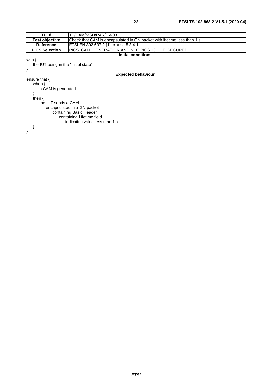| TP Id                                | TP/CAM/MSD/PAR/BV-03                                                    |  |  |  |
|--------------------------------------|-------------------------------------------------------------------------|--|--|--|
| <b>Test objective</b>                | Check that CAM is encapsulated in GN packet with lifetime less than 1 s |  |  |  |
| Reference                            | ETSI EN 302 637-2 [1], clause 5.3.4.1                                   |  |  |  |
| <b>PICS Selection</b>                | PICS_CAM_GENERATION AND NOT PICS_IS_IUT_SECURED                         |  |  |  |
|                                      | <b>Initial conditions</b>                                               |  |  |  |
| with {                               |                                                                         |  |  |  |
| the IUT being in the "initial state" |                                                                         |  |  |  |
|                                      |                                                                         |  |  |  |
|                                      | <b>Expected behaviour</b>                                               |  |  |  |
| ensure that {                        |                                                                         |  |  |  |
| when $\{$                            |                                                                         |  |  |  |
| a CAM is generated                   |                                                                         |  |  |  |
|                                      |                                                                         |  |  |  |
| then $\{$                            |                                                                         |  |  |  |
| the IUT sends a CAM                  |                                                                         |  |  |  |
|                                      | encapsulated in a GN packet                                             |  |  |  |
|                                      | containing Basic Header                                                 |  |  |  |
|                                      | containing Lifetime field                                               |  |  |  |
| indicating value less than 1 s       |                                                                         |  |  |  |
|                                      |                                                                         |  |  |  |
|                                      |                                                                         |  |  |  |
|                                      |                                                                         |  |  |  |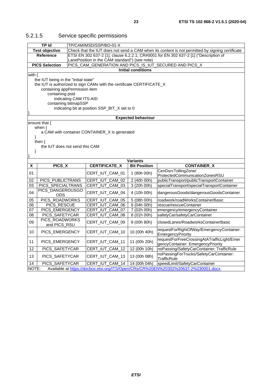|                       | <b>TP Id</b>                                     | TP/CAM/MSD/SSP/BO-01-X                                                               |                                               |                                                                                                 |  |
|-----------------------|--------------------------------------------------|--------------------------------------------------------------------------------------|-----------------------------------------------|-------------------------------------------------------------------------------------------------|--|
| <b>Test objective</b> |                                                  |                                                                                      |                                               | Check that the IUT does not send a CAM when its content is not permitted by signing certificate |  |
| <b>Reference</b>      |                                                  | ETSI EN 302 637-2 [1], clause 6.2.2.1; CR#0001 for EN 302 637-2 [1] ("Description of |                                               |                                                                                                 |  |
|                       |                                                  |                                                                                      | LanePosition in the CAM standard") (see note) |                                                                                                 |  |
|                       | <b>PICS Selection</b>                            | PICS_CAM_GENERATION AND PICS_IS_IUT_SECURED AND PICS_X                               |                                               |                                                                                                 |  |
|                       |                                                  |                                                                                      | <b>Initial conditions</b>                     |                                                                                                 |  |
| with $\{$             |                                                  |                                                                                      |                                               |                                                                                                 |  |
|                       | the IUT being in the "initial state"             |                                                                                      |                                               |                                                                                                 |  |
|                       |                                                  | the IUT is authorized to sign CAMs with the certificate CERTIFICATE_X                |                                               |                                                                                                 |  |
|                       | containing appPermission item<br>containing psid |                                                                                      |                                               |                                                                                                 |  |
|                       |                                                  | indicating CAM ITS-AID                                                               |                                               |                                                                                                 |  |
|                       | containing bitmapSSP                             |                                                                                      |                                               |                                                                                                 |  |
|                       |                                                  | indicating bit at position SSP_BIT_X set to 0                                        |                                               |                                                                                                 |  |
|                       |                                                  |                                                                                      |                                               |                                                                                                 |  |
|                       |                                                  |                                                                                      | <b>Expected behaviour</b>                     |                                                                                                 |  |
|                       | ensure that {                                    |                                                                                      |                                               |                                                                                                 |  |
|                       | when $\{$                                        |                                                                                      |                                               |                                                                                                 |  |
|                       |                                                  | a CAM with container CONTAINER_X is generated                                        |                                               |                                                                                                 |  |
| ł                     |                                                  |                                                                                      |                                               |                                                                                                 |  |
|                       | then $\{$                                        |                                                                                      |                                               |                                                                                                 |  |
|                       | the IUT does not send this CAM                   |                                                                                      |                                               |                                                                                                 |  |
| }                     |                                                  |                                                                                      |                                               |                                                                                                 |  |
|                       |                                                  |                                                                                      | <b>Variants</b>                               |                                                                                                 |  |
| х                     | PICS_X                                           | <b>CERTIFICATE_X</b>                                                                 | <b>Bit Position</b>                           | <b>CONTAINER_X</b>                                                                              |  |
|                       |                                                  |                                                                                      |                                               | CenDsrcTollingZone/                                                                             |  |
| 01                    |                                                  | CERT_IUT_CAM_01                                                                      | 1 (80h 00h)                                   | ProtectedCommunicationZonesRSU                                                                  |  |
| 02                    | PICS_PUBLICTRANS                                 | CERT_IUT_CAM_02                                                                      | 2 (40h 00h)                                   | publicTransport/publicTransportContainer                                                        |  |
| 03                    | PICS_SPECIALTRANS                                | CERT_IUT_CAM_03                                                                      | 3 (20h 00h)                                   | specialTransport/specialTransportContainer                                                      |  |
| 04                    | PICS DANGEROUSGO<br><b>ODS</b>                   | CERT_IUT_CAM_04                                                                      | 4 (10h 00h)                                   | dangerousGoods/dangerousGoodsContainer                                                          |  |
| 05                    | PICS ROADWORKS                                   | CERT_IUT_CAM_05                                                                      | 5(08h00h)                                     | roadwork/roadWorksContainerBasic                                                                |  |
| 06                    | PICS_RESCUE                                      | CERT_IUT_CAM_06                                                                      | 6 (04h 00h)                                   | rescue/rescueContainer                                                                          |  |
| 07                    | PICS_EMERGENCY                                   | CERT_IUT_CAM_07                                                                      | 7 (02h 00h)                                   | emergency/emergencyContainer                                                                    |  |
| 08                    | PICS_SAFETYCAR                                   | CERT_IUT_CAM_08                                                                      | 8 (01h 00h)                                   | safetyCar/safetyCarContainer                                                                    |  |
| 09                    | PICS_ROADWORKS<br>and PICS_RSU                   | CERT_IUT_CAM_09                                                                      | 9 (00h 80h)                                   | closedLanes/RoadworksContainerBasic                                                             |  |
| 10                    | PICS_EMERGENCY                                   | CERT_IUT_CAM_10                                                                      | 10 (00h 40h)                                  | requestForRightOfWay/EmergencyContainer:<br><b>EmergencyPriority</b>                            |  |
|                       |                                                  |                                                                                      |                                               | requestForFreeCrossingAtATrafficLight/Emer                                                      |  |
| 11                    | PICS_EMERGENCY                                   | CERT_IUT_CAM_11                                                                      | 11 (00h 20h)                                  | gencyContainer: EmergencyPriority                                                               |  |
| 12                    | PICS_SAFETYCAR                                   | CERT_IUT_CAM_12                                                                      | 12 (00h 10h)                                  | noPassing/SafetyCarContainer: TrafficRule                                                       |  |
| 13                    | PICS_SAFETYCAR                                   | CERT_IUT_CAM_13                                                                      | 13 (00h 08h)                                  | noPassingForTrucks/SafetyCarContainer:<br><b>TrafficRule</b>                                    |  |
| 14                    | PICS_SAFETYCAR                                   | CERT_IUT_CAM_14                                                                      | 14 (00h 04h)                                  | speedLimit/SafetyCarContainer                                                                   |  |
| NOTE:                 |                                                  |                                                                                      |                                               | Available at https://docbox.etsi.org/ITS/Open/CRs/CR%20EN%20302%20637-2%230001.docx.            |  |

### <span id="page-22-0"></span>5.2.1.5 Service specific permissions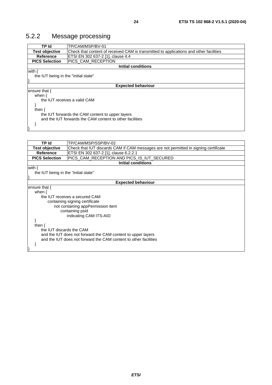### <span id="page-23-0"></span>5.2.2 Message processing

| TP Id                                                    | TP/CAM/MSP/BV-01                                                                       |  |  |  |
|----------------------------------------------------------|----------------------------------------------------------------------------------------|--|--|--|
| <b>Test objective</b>                                    | Check that content of received CAM is transmitted to applications and other facilities |  |  |  |
| Reference                                                | ETSI EN 302 637-2 [1], clause 4.4                                                      |  |  |  |
| <b>PICS Selection</b>                                    | PICS CAM RECEPTION                                                                     |  |  |  |
|                                                          | <b>Initial conditions</b>                                                              |  |  |  |
| with {                                                   |                                                                                        |  |  |  |
| the IUT being in the "initial state"                     |                                                                                        |  |  |  |
|                                                          |                                                                                        |  |  |  |
|                                                          | <b>Expected behaviour</b>                                                              |  |  |  |
| ensure that $\{$                                         |                                                                                        |  |  |  |
| when $\{$                                                |                                                                                        |  |  |  |
|                                                          | the IUT receives a valid CAM                                                           |  |  |  |
|                                                          |                                                                                        |  |  |  |
| then $\{$                                                |                                                                                        |  |  |  |
| the IUT forwards the CAM content to upper layers         |                                                                                        |  |  |  |
| and the IUT forwards the CAM content to other facilities |                                                                                        |  |  |  |
|                                                          |                                                                                        |  |  |  |
|                                                          |                                                                                        |  |  |  |

| <b>TP Id</b>                                                 | TP/CAM/MSP/SSP/BV-02                                                                 |  |  |  |
|--------------------------------------------------------------|--------------------------------------------------------------------------------------|--|--|--|
| Test objective                                               | Check that IUT discards CAM if CAM messages are not permitted in signing certificate |  |  |  |
| <b>Reference</b><br>ETSI EN 302 637-2 [1], clause 6.2.2.1    |                                                                                      |  |  |  |
| <b>PICS Selection</b>                                        | PICS_CAM_RECEPTION AND PICS_IS_IUT_SECURED                                           |  |  |  |
|                                                              | <b>Initial conditions</b>                                                            |  |  |  |
| with $\{$                                                    |                                                                                      |  |  |  |
| the IUT being in the "initial state"                         |                                                                                      |  |  |  |
|                                                              |                                                                                      |  |  |  |
|                                                              | <b>Expected behaviour</b>                                                            |  |  |  |
| ensure that {                                                |                                                                                      |  |  |  |
| when $\{$                                                    |                                                                                      |  |  |  |
|                                                              | the IUT receives a secured CAM                                                       |  |  |  |
|                                                              | containing signing certificate                                                       |  |  |  |
|                                                              | not containing appPermission item                                                    |  |  |  |
|                                                              | containing psid                                                                      |  |  |  |
|                                                              | indicating CAM ITS-AID                                                               |  |  |  |
|                                                              |                                                                                      |  |  |  |
| then $\{$                                                    |                                                                                      |  |  |  |
| the IUT discards the CAM                                     |                                                                                      |  |  |  |
| and the IUT does not forward the CAM content to upper layers |                                                                                      |  |  |  |
|                                                              | and the IUT does not forward the CAM content to other facilities                     |  |  |  |
|                                                              |                                                                                      |  |  |  |
|                                                              |                                                                                      |  |  |  |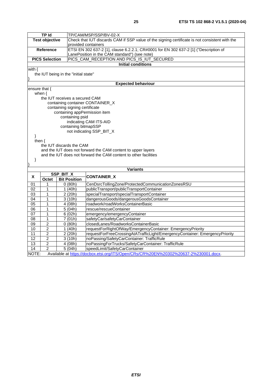|                       | <b>TP Id</b><br>TP/CAM/MSP/SSP/BV-02-X |                                      |                                                                                                |
|-----------------------|----------------------------------------|--------------------------------------|------------------------------------------------------------------------------------------------|
| <b>Test objective</b> |                                        |                                      | Check that IUT discards CAM if SSP value of the signing certificate is not consistent with the |
|                       |                                        |                                      | provided containers                                                                            |
| <b>Reference</b>      |                                        |                                      | ETSI EN 302 637-2 [1], clause 6.2.2.1; CR#0001 for EN 302 637-2 [1] ("Description of           |
|                       |                                        |                                      | LanePosition in the CAM standard") (see note)                                                  |
|                       | <b>PICS Selection</b>                  |                                      | PICS CAM RECEPTION AND PICS IS IUT SECURED                                                     |
|                       |                                        |                                      | <b>Initial conditions</b>                                                                      |
| with $\{$             |                                        |                                      |                                                                                                |
|                       |                                        | the IUT being in the "initial state" |                                                                                                |
|                       |                                        |                                      |                                                                                                |
|                       |                                        |                                      | <b>Expected behaviour</b>                                                                      |
|                       | ensure that {                          |                                      |                                                                                                |
|                       | when $\{$                              |                                      |                                                                                                |
|                       |                                        | the IUT receives a secured CAM       |                                                                                                |
|                       |                                        |                                      | containing container CONTAINER_X                                                               |
|                       |                                        | containing signing certificate       |                                                                                                |
|                       |                                        | containing appPermission item        |                                                                                                |
|                       |                                        | containing psid                      |                                                                                                |
|                       |                                        |                                      | indicating CAM ITS-AID                                                                         |
|                       |                                        | containing bitmapSSP                 |                                                                                                |
|                       |                                        |                                      | not indicating SSP_BIT_X                                                                       |
| }                     |                                        |                                      |                                                                                                |
|                       | then $\{$                              |                                      |                                                                                                |
|                       |                                        | the IUT discards the CAM             |                                                                                                |
|                       |                                        |                                      | and the IUT does not forward the CAM content to upper layers                                   |
|                       |                                        |                                      | and the IUT does not forward the CAM content to other facilities                               |
| }                     |                                        |                                      |                                                                                                |
|                       |                                        |                                      |                                                                                                |
|                       |                                        | SSP_BIT_X                            | <b>Variants</b>                                                                                |
| X                     | Octet                                  | <b>Bit Position</b>                  | <b>CONTAINER_X</b>                                                                             |
| 01                    | 1                                      |                                      | CenDsrcTollingZone/ProtectedCommunicationZonesRSU                                              |
| 02                    | 1                                      | 0(80h)<br>1(40h)                     | publicTransport/publicTransportContainer                                                       |
| 03                    | 1                                      | 2(20h)                               | specialTransport/specialTransportContainer                                                     |
| 04                    | 1                                      | 3(10h)                               | dangerousGoods/dangerousGoodsContainer                                                         |
| 05                    | 1                                      | 4 (08h)                              | roadwork/roadWorksContainerBasic                                                               |
| 06                    | 1                                      | 5(04h)                               | rescue/rescueContainer                                                                         |
| 07                    | 1                                      |                                      |                                                                                                |
|                       |                                        | 6(02h)                               | emergency/emergencyContainer                                                                   |
| 08                    | 1<br>$\overline{2}$                    | 7(01h)                               | safetyCar/safetyCarContainer                                                                   |
| 09                    |                                        | 0(80h)                               | closedLanes/RoadworksContainerBasic                                                            |
| 10                    | $\overline{c}$                         | 1(40h)                               | requestForRightOfWay/EmergencyContainer: EmergencyPriority                                     |
| 11                    | $\overline{2}$                         | 2(20h)                               | requestForFreeCrossingAtATrafficLight/EmergencyContainer: EmergencyPriority                    |

12 | 2 | 3 (10h) | noPassing/SafetyCarContainer: TrafficRule

14 | 2 | 5 (04h) | speedLimit/SafetyCarContainer

13 | 2 | 4 (08h) | noPassingForTrucks/SafetyCarContainer: TrafficRule

11 2 2 (20h) requestForFreeCrossingAtATrafficLight/EmergencyContainer: EmergencyPriority

NOTE: Available at<https://docbox.etsi.org/ITS/Open/CRs/CR%20EN%20302%20637-2%230001.docx>.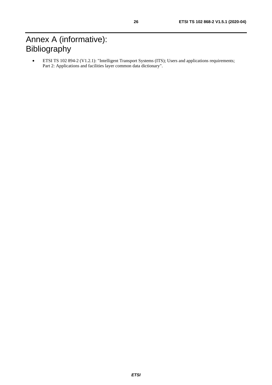## <span id="page-25-0"></span>Annex A (informative): Bibliography

• ETSI TS 102 894-2 (V1.2.1): "Intelligent Transport Systems (ITS); Users and applications requirements; Part 2: Applications and facilities layer common data dictionary".